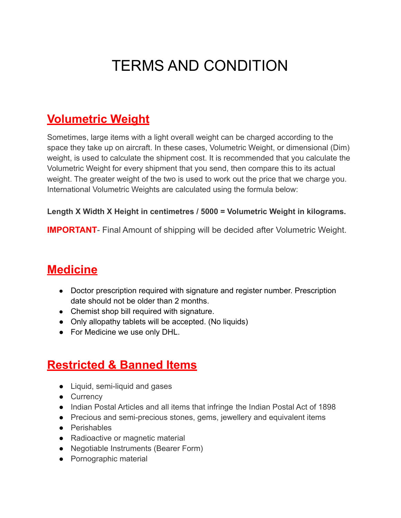# TERMS AND CONDITION

## **Volumetric Weight**

Sometimes, large items with a light overall weight can be charged according to the space they take up on aircraft. In these cases, Volumetric Weight, or dimensional (Dim) weight, is used to calculate the shipment cost. It is recommended that you calculate the Volumetric Weight for every shipment that you send, then compare this to its actual weight. The greater weight of the two is used to work out the price that we charge you. International Volumetric Weights are calculated using the formula below:

#### **Length X Width X Height in centimetres / 5000 = Volumetric Weight in kilograms.**

**IMPORTANT**- Final Amount of shipping will be decided after Volumetric Weight.

## **Medicine**

- Doctor prescription required with signature and register number. Prescription date should not be older than 2 months.
- Chemist shop bill required with signature.
- Only allopathy tablets will be accepted. (No liquids)
- For Medicine we use only DHL.

## **Restricted & Banned Items**

- Liquid, semi-liquid and gases
- Currency
- Indian Postal Articles and all items that infringe the Indian Postal Act of 1898
- Precious and semi-precious stones, gems, jewellery and equivalent items
- Perishables
- Radioactive or magnetic material
- Negotiable Instruments (Bearer Form)
- Pornographic material